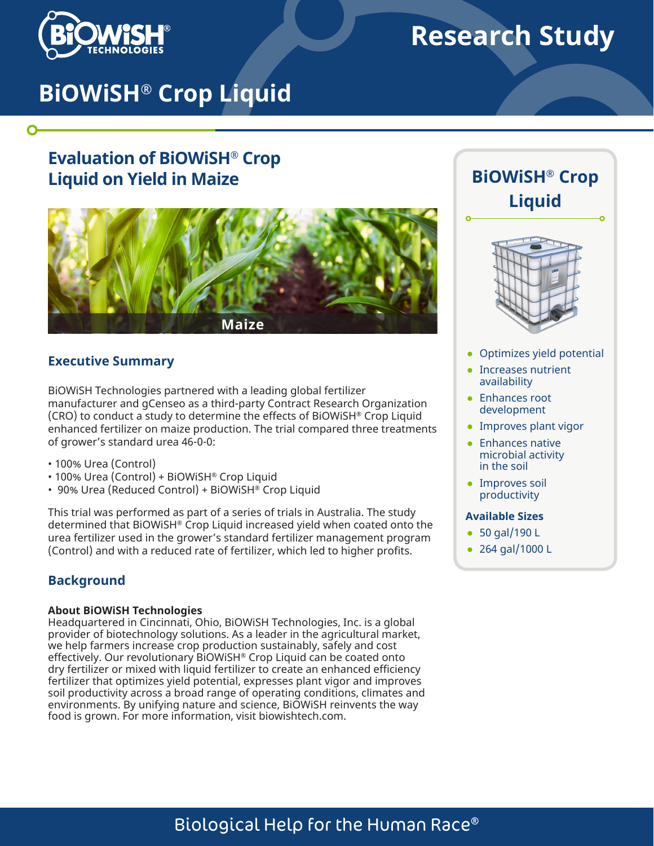

 $\mathbf O$ 

# **Research Study**

# **BiOWiSH® Crop Liquid**

# **Evaluation of BiOWiSH® Crop Liquid on Yield in Maize**



### **Executive Summary**

BiOWiSH Technologies partnered with a leading global fertilizer manufacturer and gCenseo as a third-party Contract Research Organization (CRO) to conduct a study to determine the effects of BiOWiSH® Crop Liquid enhanced fertilizer on maize production. The trial compared three treatments of grower's standard urea 46-0-0:

- 100% Urea (Control)
- 100% Urea (Control) + BiOWiSH® Crop Liquid
- 90% Urea (Reduced Control) + BiOWiSH® Crop Liquid

This trial was performed as part of a series of trials in Australia. The study determined that BiOWiSH® Crop Liquid increased yield when coated onto the urea fertilizer used in the grower's standard fertilizer management program (Control) and with a reduced rate of fertilizer, which led to higher profits.

## **Background**

#### **About BiOWiSH Technologies**

Headquartered in Cincinnati, Ohio, BiOWiSH Technologies, Inc. is a global provider of biotechnology solutions. As a leader in the agricultural market, we help farmers increase crop production sustainably, safely and cost effectively. Our revolutionary BiOWiSH® Crop Liquid can be coated onto dry fertilizer or mixed with liquid fertilizer to create an enhanced efficiency fertilizer that optimizes yield potential, expresses plant vigor and improves soil productivity across a broad range of operating conditions, climates and environments. By unifying nature and science, BiOWiSH reinvents the way food is grown. For more information, visit biowishtech.com.





- Optimizes yield potential
- Increases nutrient availability
- Enhances root development
- Improves plant vigor
- Enhances native microbial activity in the soil
- Improves soil productivity

#### **Available Sizes**

- 50 gal/190 L
- 264 gal/1000 L

# Biological Help for the Human Race®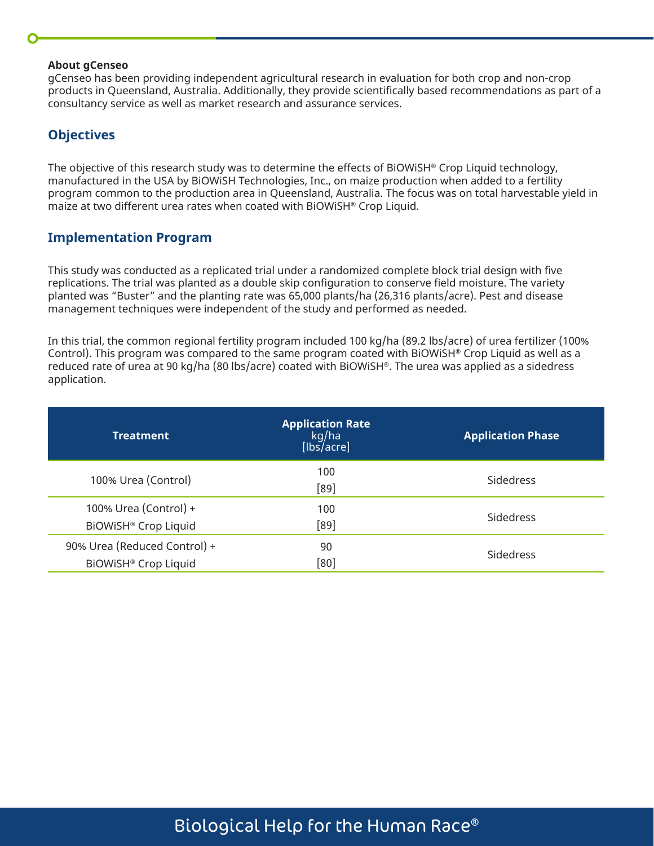#### **About gCenseo**

gCenseo has been providing independent agricultural research in evaluation for both crop and non-crop products in Queensland, Australia. Additionally, they provide scientifically based recommendations as part of a consultancy service as well as market research and assurance services.

### **Objectives**

The objective of this research study was to determine the effects of BiOWiSH® Crop Liquid technology, manufactured in the USA by BiOWiSH Technologies, Inc., on maize production when added to a fertility program common to the production area in Queensland, Australia. The focus was on total harvestable yield in maize at two different urea rates when coated with BiOWiSH® Crop Liquid.

#### **Implementation Program**

This study was conducted as a replicated trial under a randomized complete block trial design with five replications. The trial was planted as a double skip configuration to conserve field moisture. The variety planted was "Buster" and the planting rate was 65,000 plants/ha (26,316 plants/acre). Pest and disease management techniques were independent of the study and performed as needed.

In this trial, the common regional fertility program included 100 kg/ha (89.2 lbs/acre) of urea fertilizer (100% Control). This program was compared to the same program coated with BiOWiSH® Crop Liquid as well as a reduced rate of urea at 90 kg/ha (80 lbs/acre) coated with BiOWiSH®. The urea was applied as a sidedress application.

| <b>Treatment</b>                                     | <b>Application Rate</b><br>kg/ha<br>[Ibs/acre] | <b>Application Phase</b> |
|------------------------------------------------------|------------------------------------------------|--------------------------|
| 100% Urea (Control)                                  | 100<br>[89]                                    | <b>Sidedress</b>         |
| 100% Urea (Control) +<br>BiOWiSH® Crop Liquid        | 100<br>[89]                                    | <b>Sidedress</b>         |
| 90% Urea (Reduced Control) +<br>BIOWISH® Crop Liquid | 90<br>[80]                                     | Sidedress                |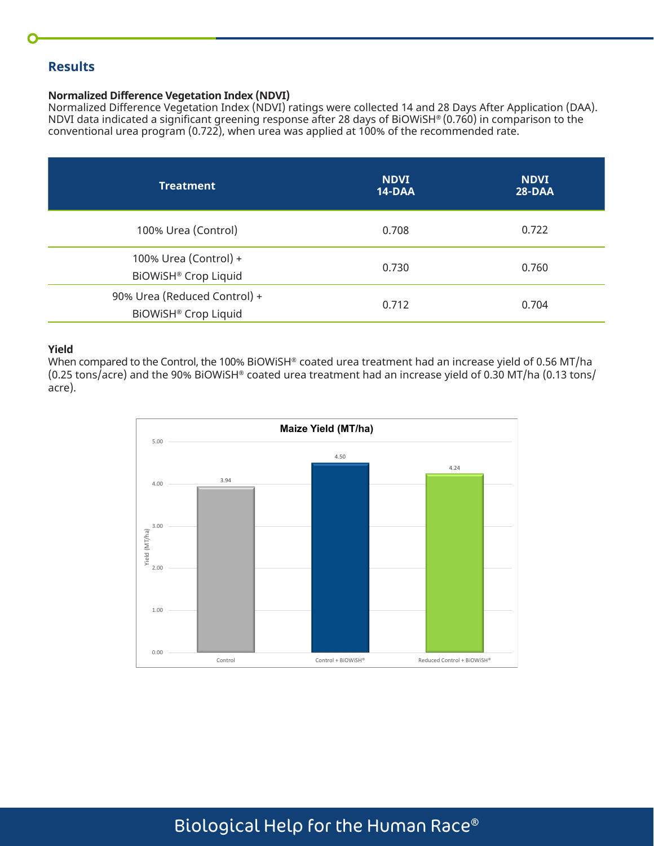## **Results**

#### **Normalized Difference Vegetation Index (NDVI)**

Normalized Difference Vegetation Index (NDVI) ratings were collected 14 and 28 Days After Application (DAA). NDVI data indicated a significant greening response after 28 days of BiOWiSH® (0.760) in comparison to the conventional urea program (0.722), when urea was applied at 100% of the recommended rate.

| <b>Treatment</b>                                     | <b>NDVI</b><br>14-DAA | <b>NDVI</b><br>$28-DAA$ |
|------------------------------------------------------|-----------------------|-------------------------|
| 100% Urea (Control)                                  | 0.708                 | 0.722                   |
| 100% Urea (Control) +<br>BiOWiSH® Crop Liquid        | 0.730                 | 0.760                   |
| 90% Urea (Reduced Control) +<br>BiOWiSH® Crop Liquid | 0.712                 | 0.704                   |

#### **Yield**

When compared to the Control, the 100% BiOWiSH® coated urea treatment had an increase yield of 0.56 MT/ha (0.25 tons/acre) and the 90% BiOWiSH® coated urea treatment had an increase yield of 0.30 MT/ha (0.13 tons/ acre).